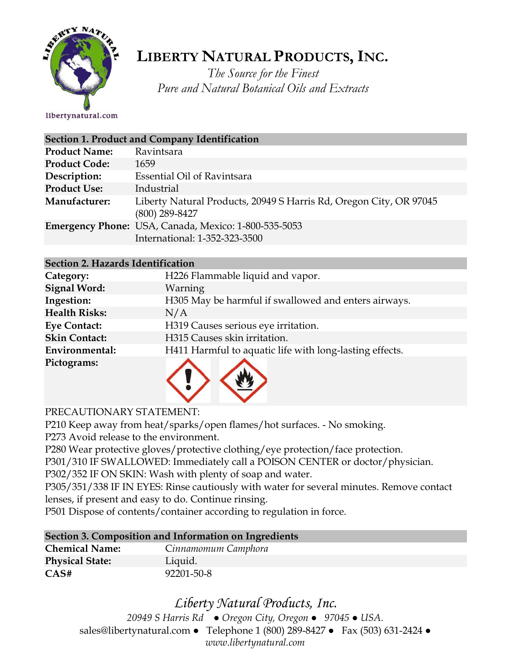

# **LIBERTY NATURAL PRODUCTS,INC.**

*The Source for the Finest Pure and Natural Botanical Oils and Extracts*

libertynatural.com

|                      | Section 1. Product and Company Identification                                          |
|----------------------|----------------------------------------------------------------------------------------|
| <b>Product Name:</b> | Ravintsara                                                                             |
| <b>Product Code:</b> | 1659                                                                                   |
| Description:         | Essential Oil of Ravintsara                                                            |
| <b>Product Use:</b>  | Industrial                                                                             |
| Manufacturer:        | Liberty Natural Products, 20949 S Harris Rd, Oregon City, OR 97045<br>$(800)$ 289-8427 |
|                      | Emergency Phone: USA, Canada, Mexico: 1-800-535-5053<br>International: 1-352-323-3500  |

#### **Section 2. Hazards Identification**

| Category:            | H226 Flammable liquid and vapor.                        |
|----------------------|---------------------------------------------------------|
| <b>Signal Word:</b>  | Warning                                                 |
| Ingestion:           | H305 May be harmful if swallowed and enters airways.    |
| <b>Health Risks:</b> | N/A                                                     |
| <b>Eye Contact:</b>  | H319 Causes serious eye irritation.                     |
| <b>Skin Contact:</b> | H315 Causes skin irritation.                            |
| Environmental:       | H411 Harmful to aquatic life with long-lasting effects. |
| Pictograms:          |                                                         |

#### PRECAUTIONARY STATEMENT:

P210 Keep away from heat/sparks/open flames/hot surfaces. - No smoking.

P273 Avoid release to the environment.

P280 Wear protective gloves/protective clothing/eye protection/face protection.

P301/310 IF SWALLOWED: Immediately call a POISON CENTER or doctor/physician.

P302/352 IF ON SKIN: Wash with plenty of soap and water.

P305/351/338 IF IN EYES: Rinse cautiously with water for several minutes. Remove contact lenses, if present and easy to do. Continue rinsing.

P501 Dispose of contents/container according to regulation in force.

#### **Section 3. Composition and Information on Ingredients**

| Cinnamomum Camphora |
|---------------------|
| Liquid.             |
| 92201-50-8          |
|                     |

### *Liberty Natural Products, Inc.*

*20949 S Harris Rd ● Oregon City, Oregon ● 97045 ● USA.*  sales@libertynatural.com *●* Telephone 1 (800) 289-8427 ● Fax (503) 631-2424 *● www.libertynatural.com*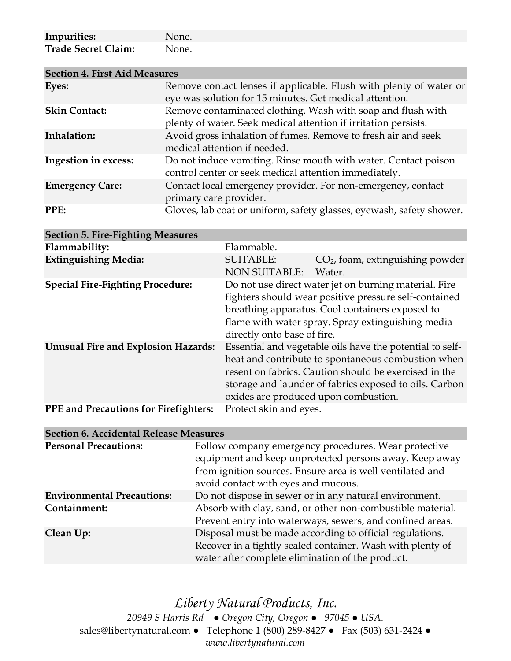| Impurities:                | None. |
|----------------------------|-------|
| <b>Trade Secret Claim:</b> | None. |

| <b>Section 4. First Aid Measures</b> |                                                                                                                                |
|--------------------------------------|--------------------------------------------------------------------------------------------------------------------------------|
| Eyes:                                | Remove contact lenses if applicable. Flush with plenty of water or<br>eye was solution for 15 minutes. Get medical attention.  |
| <b>Skin Contact:</b>                 | Remove contaminated clothing. Wash with soap and flush with<br>plenty of water. Seek medical attention if irritation persists. |
| Inhalation:                          | Avoid gross inhalation of fumes. Remove to fresh air and seek<br>medical attention if needed.                                  |
| Ingestion in excess:                 | Do not induce vomiting. Rinse mouth with water. Contact poison<br>control center or seek medical attention immediately.        |
| <b>Emergency Care:</b>               | Contact local emergency provider. For non-emergency, contact<br>primary care provider.                                         |
| PPE:                                 | Gloves, lab coat or uniform, safety glasses, eyewash, safety shower.                                                           |

| <b>Section 5. Fire-Fighting Measures</b>     |                                                                                                                                                                                                                                                                           |                                              |
|----------------------------------------------|---------------------------------------------------------------------------------------------------------------------------------------------------------------------------------------------------------------------------------------------------------------------------|----------------------------------------------|
| Flammability:                                | Flammable.                                                                                                                                                                                                                                                                |                                              |
| <b>Extinguishing Media:</b>                  | <b>SUITABLE:</b><br><b>NON SUITABLE:</b>                                                                                                                                                                                                                                  | $CO2$ , foam, extinguishing powder<br>Water. |
| <b>Special Fire-Fighting Procedure:</b>      | Do not use direct water jet on burning material. Fire<br>fighters should wear positive pressure self-contained<br>breathing apparatus. Cool containers exposed to<br>flame with water spray. Spray extinguishing media<br>directly onto base of fire.                     |                                              |
| <b>Unusual Fire and Explosion Hazards:</b>   | Essential and vegetable oils have the potential to self-<br>heat and contribute to spontaneous combustion when<br>resent on fabrics. Caution should be exercised in the<br>storage and launder of fabrics exposed to oils. Carbon<br>oxides are produced upon combustion. |                                              |
| <b>PPE</b> and Precautions for Firefighters: | Protect skin and eyes.                                                                                                                                                                                                                                                    |                                              |

| <b>Section 6. Accidental Release Measures</b> |                                                                                                                                                                                                                    |  |
|-----------------------------------------------|--------------------------------------------------------------------------------------------------------------------------------------------------------------------------------------------------------------------|--|
| <b>Personal Precautions:</b>                  | Follow company emergency procedures. Wear protective<br>equipment and keep unprotected persons away. Keep away<br>from ignition sources. Ensure area is well ventilated and<br>avoid contact with eyes and mucous. |  |
| <b>Environmental Precautions:</b>             | Do not dispose in sewer or in any natural environment.                                                                                                                                                             |  |
| Containment:                                  | Absorb with clay, sand, or other non-combustible material.<br>Prevent entry into waterways, sewers, and confined areas.                                                                                            |  |
| Clean Up:                                     | Disposal must be made according to official regulations.<br>Recover in a tightly sealed container. Wash with plenty of<br>water after complete elimination of the product.                                         |  |

*Liberty Natural Products, Inc. 20949 S Harris Rd ● Oregon City, Oregon ● 97045 ● USA.*  sales@libertynatural.com *●* Telephone 1 (800) 289-8427 ● Fax (503) 631-2424 *● www.libertynatural.com*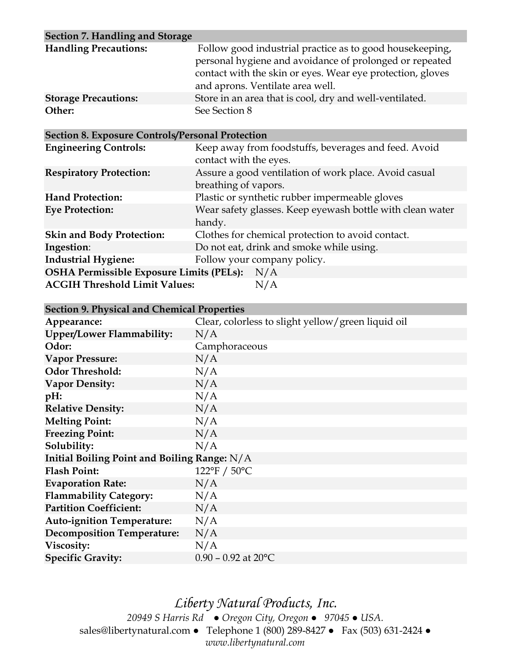| Section 7. Handling and Storage |                                                                                                                                                                                                                       |  |
|---------------------------------|-----------------------------------------------------------------------------------------------------------------------------------------------------------------------------------------------------------------------|--|
| <b>Handling Precautions:</b>    | Follow good industrial practice as to good housekeeping,<br>personal hygiene and avoidance of prolonged or repeated<br>contact with the skin or eyes. Wear eye protection, gloves<br>and aprons. Ventilate area well. |  |
| <b>Storage Precautions:</b>     | Store in an area that is cool, dry and well-ventilated.                                                                                                                                                               |  |
| Other:                          | See Section 8                                                                                                                                                                                                         |  |

| <b>Section 8. Exposure Controls/Personal Protection</b> |                                                           |  |  |
|---------------------------------------------------------|-----------------------------------------------------------|--|--|
| <b>Engineering Controls:</b>                            | Keep away from foodstuffs, beverages and feed. Avoid      |  |  |
|                                                         | contact with the eyes.                                    |  |  |
| <b>Respiratory Protection:</b>                          | Assure a good ventilation of work place. Avoid casual     |  |  |
|                                                         | breathing of vapors.                                      |  |  |
| <b>Hand Protection:</b>                                 | Plastic or synthetic rubber impermeable gloves            |  |  |
| <b>Eye Protection:</b>                                  | Wear safety glasses. Keep eyewash bottle with clean water |  |  |
|                                                         | handy.                                                    |  |  |
| <b>Skin and Body Protection:</b>                        | Clothes for chemical protection to avoid contact.         |  |  |
| Ingestion:                                              | Do not eat, drink and smoke while using.                  |  |  |
| <b>Industrial Hygiene:</b>                              | Follow your company policy.                               |  |  |
| <b>OSHA Permissible Exposure Limits (PELs):</b>         | N/A                                                       |  |  |
| <b>ACGIH Threshold Limit Values:</b>                    | N/A                                                       |  |  |
|                                                         |                                                           |  |  |

| <b>Section 9. Physical and Chemical Properties</b> |                                                    |  |  |
|----------------------------------------------------|----------------------------------------------------|--|--|
| Appearance:                                        | Clear, colorless to slight yellow/green liquid oil |  |  |
| <b>Upper/Lower Flammability:</b>                   | N/A                                                |  |  |
| Odor:                                              | Camphoraceous                                      |  |  |
| <b>Vapor Pressure:</b>                             | N/A                                                |  |  |
| <b>Odor Threshold:</b>                             | N/A                                                |  |  |
| <b>Vapor Density:</b>                              | N/A                                                |  |  |
| pH:                                                | N/A                                                |  |  |
| <b>Relative Density:</b>                           | N/A                                                |  |  |
| <b>Melting Point:</b>                              | N/A                                                |  |  |
| <b>Freezing Point:</b>                             | N/A                                                |  |  |
| Solubility:                                        | N/A                                                |  |  |
| Initial Boiling Point and Boiling Range: $N/A$     |                                                    |  |  |
| <b>Flash Point:</b>                                | 122°F / 50°C                                       |  |  |
| <b>Evaporation Rate:</b>                           | N/A                                                |  |  |
| <b>Flammability Category:</b>                      | N/A                                                |  |  |
| <b>Partition Coefficient:</b>                      | N/A                                                |  |  |
| <b>Auto-ignition Temperature:</b>                  | N/A                                                |  |  |
| <b>Decomposition Temperature:</b>                  | N/A                                                |  |  |
| Viscosity:                                         | N/A                                                |  |  |
| <b>Specific Gravity:</b>                           | $0.90 - 0.92$ at $20^{\circ}$ C                    |  |  |

## *Liberty Natural Products, Inc.*

*20949 S Harris Rd ● Oregon City, Oregon ● 97045 ● USA.*  sales@libertynatural.com *●* Telephone 1 (800) 289-8427 ● Fax (503) 631-2424 *● www.libertynatural.com*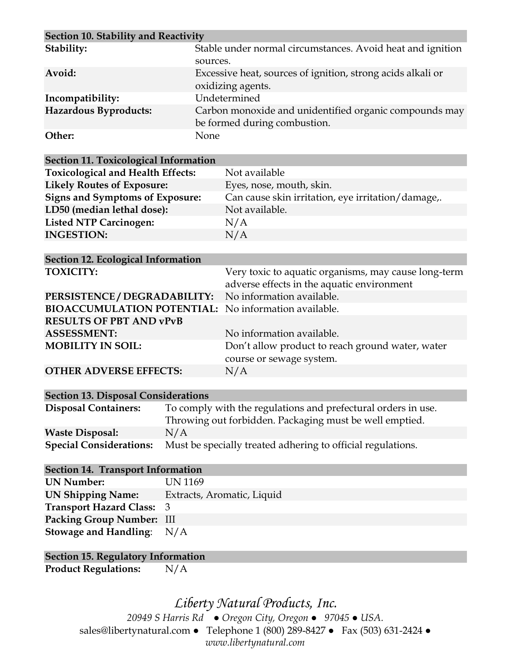| Section 10. Stability and Reactivity         |                            |                                                               |  |  |
|----------------------------------------------|----------------------------|---------------------------------------------------------------|--|--|
| Stability:                                   |                            | Stable under normal circumstances. Avoid heat and ignition    |  |  |
|                                              | sources.                   |                                                               |  |  |
| Avoid:                                       |                            | Excessive heat, sources of ignition, strong acids alkali or   |  |  |
|                                              |                            | oxidizing agents.                                             |  |  |
| Incompatibility:                             |                            | Undetermined                                                  |  |  |
| Hazardous Byproducts:                        |                            | Carbon monoxide and unidentified organic compounds may        |  |  |
|                                              |                            | be formed during combustion.                                  |  |  |
| Other:                                       | None                       |                                                               |  |  |
|                                              |                            |                                                               |  |  |
| <b>Section 11. Toxicological Information</b> |                            |                                                               |  |  |
| <b>Toxicological and Health Effects:</b>     |                            | Not available                                                 |  |  |
| <b>Likely Routes of Exposure:</b>            |                            | Eyes, nose, mouth, skin.                                      |  |  |
| <b>Signs and Symptoms of Exposure:</b>       |                            | Can cause skin irritation, eye irritation/damage,.            |  |  |
| LD50 (median lethal dose):                   |                            | Not available.                                                |  |  |
| <b>Listed NTP Carcinogen:</b>                |                            | N/A                                                           |  |  |
| <b>INGESTION:</b>                            |                            | N/A                                                           |  |  |
|                                              |                            |                                                               |  |  |
| Section 12. Ecological Information           |                            |                                                               |  |  |
| <b>TOXICITY:</b>                             |                            | Very toxic to aquatic organisms, may cause long-term          |  |  |
|                                              |                            | adverse effects in the aquatic environment                    |  |  |
| PERSISTENCE / DEGRADABILITY:                 |                            | No information available.                                     |  |  |
| <b>BIOACCUMULATION POTENTIAL:</b>            |                            | No information available.                                     |  |  |
| <b>RESULTS OF PBT AND vPvB</b>               |                            |                                                               |  |  |
| <b>ASSESSMENT:</b>                           |                            | No information available.                                     |  |  |
| <b>MOBILITY IN SOIL:</b>                     |                            | Don't allow product to reach ground water, water              |  |  |
|                                              |                            | course or sewage system.                                      |  |  |
| <b>OTHER ADVERSE EFFECTS:</b>                |                            | N/A                                                           |  |  |
|                                              |                            |                                                               |  |  |
| <b>Section 13. Disposal Considerations</b>   |                            |                                                               |  |  |
| <b>Disposal Containers:</b>                  |                            | To comply with the regulations and prefectural orders in use. |  |  |
|                                              |                            | Throwing out forbidden. Packaging must be well emptied.       |  |  |
| <b>Waste Disposal:</b>                       | N/A                        |                                                               |  |  |
| <b>Special Considerations:</b>               |                            | Must be specially treated adhering to official regulations.   |  |  |
| <b>Section 14. Transport Information</b>     |                            |                                                               |  |  |
| <b>UN Number:</b>                            | <b>UN 1169</b>             |                                                               |  |  |
| <b>UN Shipping Name:</b>                     | Extracts, Aromatic, Liquid |                                                               |  |  |
| <b>Transport Hazard Class:</b>               | 3                          |                                                               |  |  |
| <b>Packing Group Number:</b>                 | III                        |                                                               |  |  |
| <b>Stowage and Handling:</b>                 | N/A                        |                                                               |  |  |
|                                              |                            |                                                               |  |  |
| <b>Section 15. Regulatory Information</b>    |                            |                                                               |  |  |

**Product Regulations:** N/A

*Liberty Natural Products, Inc. 20949 S Harris Rd ● Oregon City, Oregon ● 97045 ● USA.*  sales@libertynatural.com *●* Telephone 1 (800) 289-8427 ● Fax (503) 631-2424 *● www.libertynatural.com*